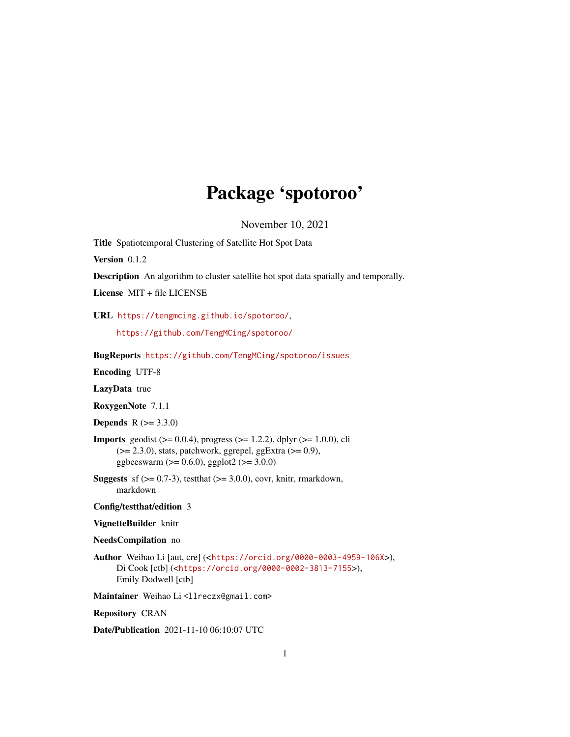## Package 'spotoroo'

November 10, 2021

<span id="page-0-0"></span>Title Spatiotemporal Clustering of Satellite Hot Spot Data

Version 0.1.2

Description An algorithm to cluster satellite hot spot data spatially and temporally.

License MIT + file LICENSE

URL <https://tengmcing.github.io/spotoroo/>,

<https://github.com/TengMCing/spotoroo/>

BugReports <https://github.com/TengMCing/spotoroo/issues>

Encoding UTF-8

LazyData true

RoxygenNote 7.1.1

**Depends**  $R (= 3.3.0)$ 

**Imports** geodist ( $> = 0.0.4$ ), progress ( $> = 1.2.2$ ), dplyr ( $> = 1.0.0$ ), cli  $(>= 2.3.0)$ , stats, patchwork, ggrepel, ggExtra  $(>= 0.9)$ , ggbeeswarm ( $> = 0.6.0$ ), ggplot2 ( $> = 3.0.0$ )

**Suggests** sf  $(>= 0.7-3)$ , test that  $(>= 3.0.0)$ , covr, knitr, rmarkdown, markdown

### Config/testthat/edition 3

#### VignetteBuilder knitr

#### NeedsCompilation no

Author Weihao Li [aut, cre] (<<https://orcid.org/0000-0003-4959-106X>>), Di Cook [ctb] (<<https://orcid.org/0000-0002-3813-7155>>), Emily Dodwell [ctb]

Maintainer Weihao Li<llreczx@gmail.com>

Repository CRAN

Date/Publication 2021-11-10 06:10:07 UTC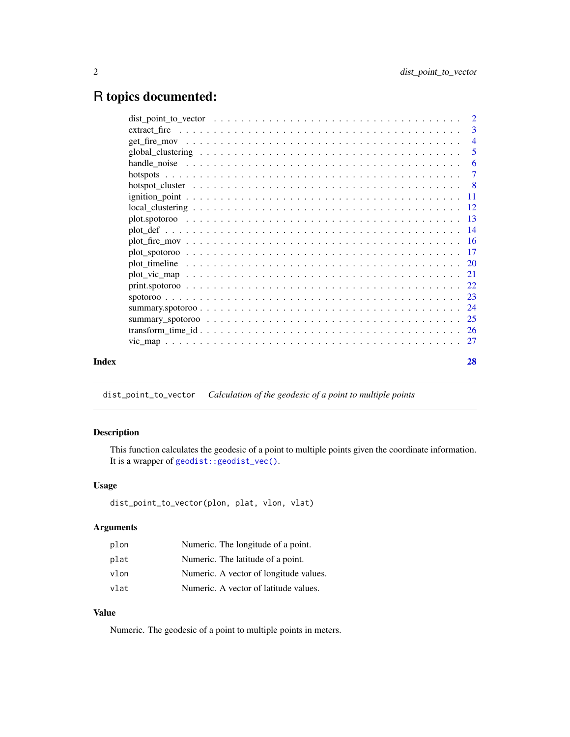## <span id="page-1-0"></span>R topics documented:

|       | -6 |
|-------|----|
|       |    |
|       |    |
|       |    |
|       |    |
|       |    |
|       |    |
|       |    |
|       |    |
|       |    |
|       |    |
|       |    |
|       |    |
|       |    |
|       |    |
|       |    |
|       |    |
| Index | 28 |
|       |    |

<span id="page-1-1"></span>dist\_point\_to\_vector *Calculation of the geodesic of a point to multiple points*

## Description

This function calculates the geodesic of a point to multiple points given the coordinate information. It is a wrapper of [geodist::geodist\\_vec\(\)](#page-0-0).

## Usage

```
dist_point_to_vector(plon, plat, vlon, vlat)
```
## Arguments

| plon | Numeric. The longitude of a point.     |
|------|----------------------------------------|
| plat | Numeric. The latitude of a point.      |
| vlon | Numeric. A vector of longitude values. |
| vlat | Numeric. A vector of latitude values.  |

## Value

Numeric. The geodesic of a point to multiple points in meters.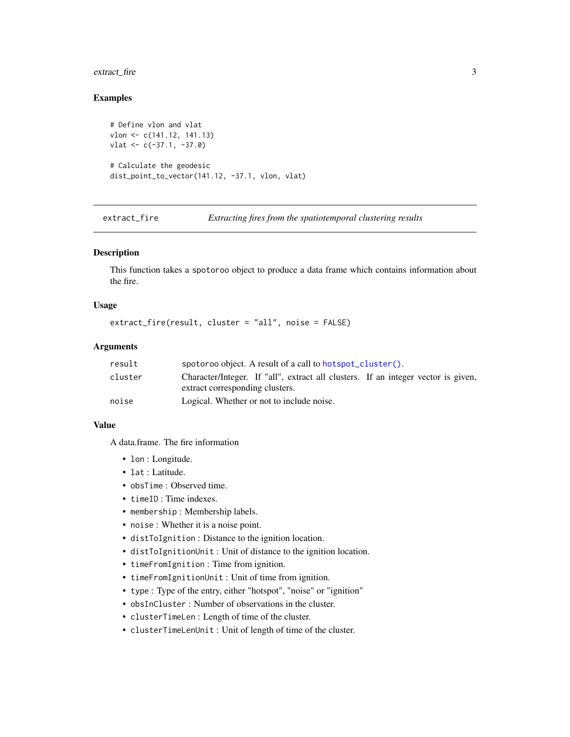## <span id="page-2-0"></span>extract\_fire 3

## Examples

```
# Define vlon and vlat
vlon <- c(141.12, 141.13)
vlat <- c(-37.1, -37.0)
# Calculate the geodesic
dist_point_to_vector(141.12, -37.1, vlon, vlat)
```
extract\_fire *Extracting fires from the spatiotemporal clustering results*

#### Description

This function takes a spotoroo object to produce a data frame which contains information about the fire.

#### Usage

```
extract_fire(result, cluster = "all", noise = FALSE)
```
#### Arguments

| result  | spotoroo object. A result of a call to hotspot_cluster().                                                            |  |
|---------|----------------------------------------------------------------------------------------------------------------------|--|
| cluster | Character/Integer. If "all", extract all clusters. If an integer vector is given,<br>extract corresponding clusters. |  |
|         |                                                                                                                      |  |
| noise   | Logical. Whether or not to include noise.                                                                            |  |

#### Value

A data.frame. The fire information

- lon : Longitude.
- lat : Latitude.
- obsTime : Observed time.
- timeID : Time indexes.
- membership : Membership labels.
- noise : Whether it is a noise point.
- distToIgnition : Distance to the ignition location.
- distToIgnitionUnit : Unit of distance to the ignition location.
- timeFromIgnition : Time from ignition.
- timeFromIgnitionUnit : Unit of time from ignition.
- type : Type of the entry, either "hotspot", "noise" or "ignition"
- obsInCluster : Number of observations in the cluster.
- clusterTimeLen : Length of time of the cluster.
- clusterTimeLenUnit : Unit of length of time of the cluster.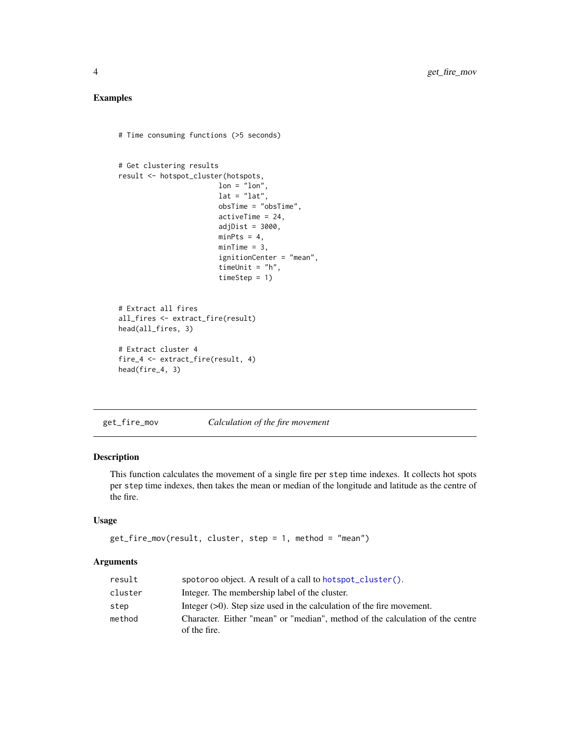## <span id="page-3-0"></span>Examples

```
# Time consuming functions (>5 seconds)
```

```
# Get clustering results
result <- hotspot_cluster(hotspots,
                       lon = "lon",lat = "lat",obsTime = "obsTime",
                        activeTime = 24,
                        adjDist = 3000,
                        minPts = 4,minTime = 3,
                        ignitionCenter = "mean",
                        timeUnit = "h",
                        timeStep = 1)
# Extract all fires
all_fires <- extract_fire(result)
head(all_fires, 3)
# Extract cluster 4
fire_4 <- extract_fire(result, 4)
head(fire_4, 3)
```
<span id="page-3-1"></span>get\_fire\_mov *Calculation of the fire movement*

#### Description

This function calculates the movement of a single fire per step time indexes. It collects hot spots per step time indexes, then takes the mean or median of the longitude and latitude as the centre of the fire.

#### Usage

```
get_fire_mov(result, cluster, step = 1, method = "mean")
```
#### Arguments

| result  | spotoroo object. A result of a call to hotspot_cluster().                                     |
|---------|-----------------------------------------------------------------------------------------------|
| cluster | Integer. The membership label of the cluster.                                                 |
| step    | Integer $(>0)$ . Step size used in the calculation of the fire movement.                      |
| method  | Character. Either "mean" or "median", method of the calculation of the centre<br>of the fire. |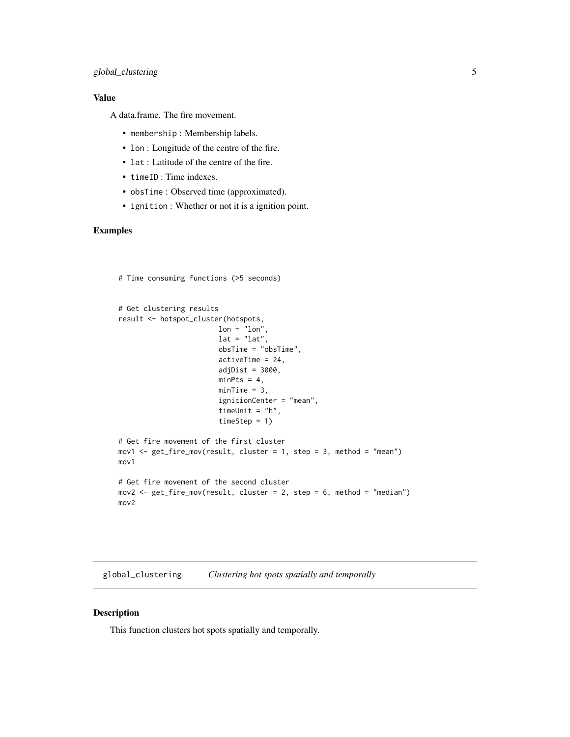## <span id="page-4-0"></span>global\_clustering 5

## Value

A data.frame. The fire movement.

- membership : Membership labels.
- lon : Longitude of the centre of the fire.
- lat : Latitude of the centre of the fire.
- timeID : Time indexes.
- obsTime : Observed time (approximated).
- ignition : Whether or not it is a ignition point.

## Examples

```
# Time consuming functions (>5 seconds)
```

```
# Get clustering results
result <- hotspot_cluster(hotspots,
                        lon = "lon".lat = "lat",obsTime = "obsTime",
                        activeTime = 24,
                        adjDist = 3000,minPts = 4,minTime = 3,
                        ignitionCenter = "mean",
                        timeUnit = "h",
                        timeStep = 1)
# Get fire movement of the first cluster
mov1 <- get_fire_mov(result, cluster = 1, step = 3, method = "mean")
mov1
# Get fire movement of the second cluster
mov2 <- get_fire_mov(result, cluster = 2, step = 6, method = "median")
mov2
```
<span id="page-4-1"></span>global\_clustering *Clustering hot spots spatially and temporally*

#### Description

This function clusters hot spots spatially and temporally.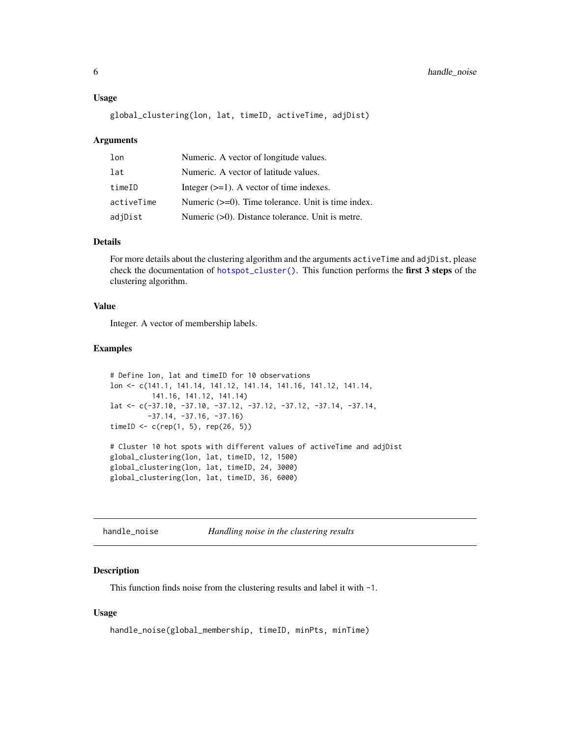#### <span id="page-5-0"></span>Usage

```
global_clustering(lon, lat, timeID, activeTime, adjDist)
```
#### Arguments

| lon        | Numeric. A vector of longitude values.                |
|------------|-------------------------------------------------------|
| lat        | Numeric. A vector of latitude values.                 |
| timeID     | Integer $(\geq=1)$ . A vector of time indexes.        |
| activeTime | Numeric $(>=0)$ . Time tolerance. Unit is time index. |
| adjDist    | Numeric $(>0)$ . Distance tolerance. Unit is metre.   |

## Details

For more details about the clustering algorithm and the arguments activeTime and adjDist, please check the documentation of [hotspot\\_cluster\(\)](#page-7-1). This function performs the first 3 steps of the clustering algorithm.

#### Value

Integer. A vector of membership labels.

#### Examples

```
# Define lon, lat and timeID for 10 observations
lon <- c(141.1, 141.14, 141.12, 141.14, 141.16, 141.12, 141.14,
         141.16, 141.12, 141.14)
lat <- c(-37.10, -37.10, -37.12, -37.12, -37.12, -37.14, -37.14,
         -37.14, -37.16, -37.16)
timeID <- c(rep(1, 5), rep(26, 5))# Cluster 10 hot spots with different values of activeTime and adjDist
global_clustering(lon, lat, timeID, 12, 1500)
global_clustering(lon, lat, timeID, 24, 3000)
global_clustering(lon, lat, timeID, 36, 6000)
```
<span id="page-5-1"></span>handle\_noise *Handling noise in the clustering results*

#### Description

This function finds noise from the clustering results and label it with -1.

#### Usage

```
handle_noise(global_membership, timeID, minPts, minTime)
```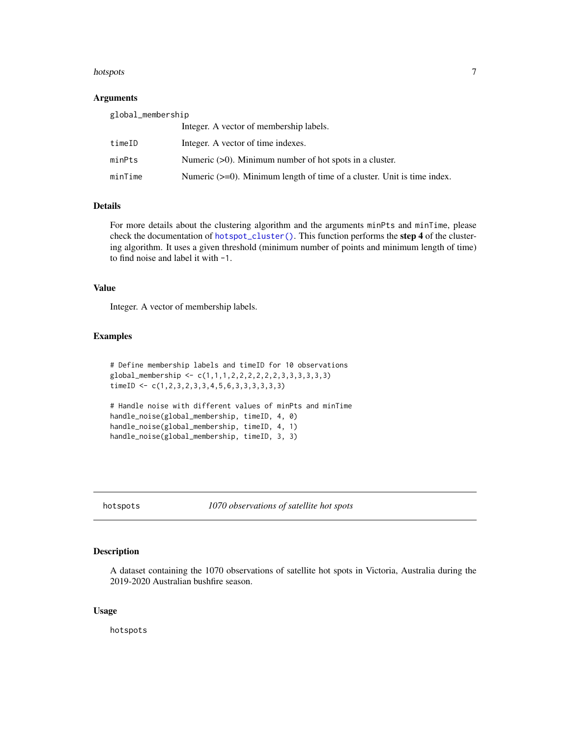#### <span id="page-6-0"></span>hotspots 7

## Arguments

| global_membership |                                                                            |  |
|-------------------|----------------------------------------------------------------------------|--|
|                   | Integer. A vector of membership labels.                                    |  |
| timeID            | Integer. A vector of time indexes.                                         |  |
| minPts            | Numeric $(0)$ . Minimum number of hot spots in a cluster.                  |  |
| minTime           | Numeric $(>=0)$ . Minimum length of time of a cluster. Unit is time index. |  |

## Details

For more details about the clustering algorithm and the arguments minPts and minTime, please check the documentation of [hotspot\\_cluster\(\)](#page-7-1). This function performs the step 4 of the clustering algorithm. It uses a given threshold (minimum number of points and minimum length of time) to find noise and label it with -1.

#### Value

Integer. A vector of membership labels.

#### Examples

```
# Define membership labels and timeID for 10 observations
global_membership < -c(1,1,1,2,2,2,2,2,2,3,3,3,3,3,3)timeID \leq c(1, 2, 3, 2, 3, 3, 4, 5, 6, 3, 3, 3, 3, 3, 3)# Handle noise with different values of minPts and minTime
handle_noise(global_membership, timeID, 4, 0)
handle_noise(global_membership, timeID, 4, 1)
handle_noise(global_membership, timeID, 3, 3)
```
<span id="page-6-1"></span>hotspots *1070 observations of satellite hot spots*

#### Description

A dataset containing the 1070 observations of satellite hot spots in Victoria, Australia during the 2019-2020 Australian bushfire season.

#### Usage

hotspots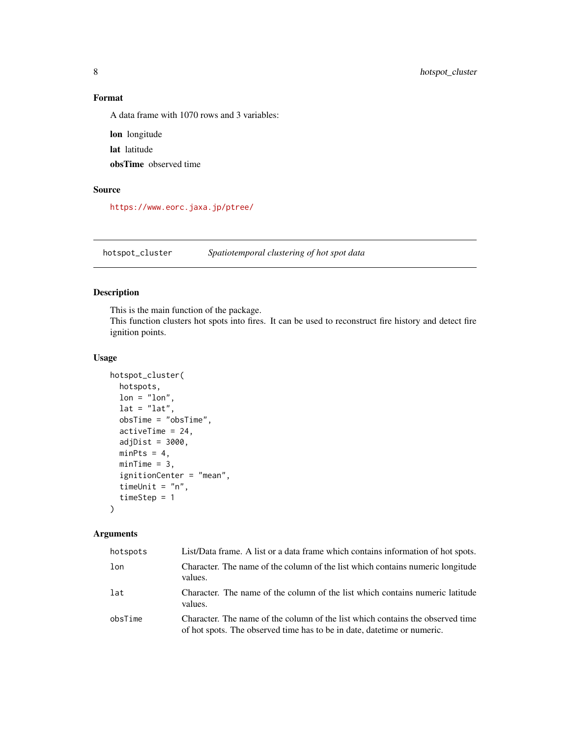## <span id="page-7-0"></span>Format

A data frame with 1070 rows and 3 variables:

lon longitude lat latitude obsTime observed time

## Source

<https://www.eorc.jaxa.jp/ptree/>

<span id="page-7-1"></span>hotspot\_cluster *Spatiotemporal clustering of hot spot data*

## Description

This is the main function of the package.

This function clusters hot spots into fires. It can be used to reconstruct fire history and detect fire ignition points.

#### Usage

```
hotspot_cluster(
  hotspots,
 lon = "lon",lat = "lat",obsTime = "obsTime",
  activeTime = 24,
  adjDist = 3000,minPts = 4,minTime = 3,
  ignitionCenter = "mean",
  timeUnit = "n",
  timeStep = 1
\mathcal{L}
```
## Arguments

| hotspots | List/Data frame. A list or a data frame which contains information of hot spots.                                                                           |
|----------|------------------------------------------------------------------------------------------------------------------------------------------------------------|
| lon      | Character. The name of the column of the list which contains numeric longitude<br>values.                                                                  |
| lat      | Character. The name of the column of the list which contains numeric latitude<br>values.                                                                   |
| obsTime  | Character. The name of the column of the list which contains the observed time<br>of hot spots. The observed time has to be in date, date time or numeric. |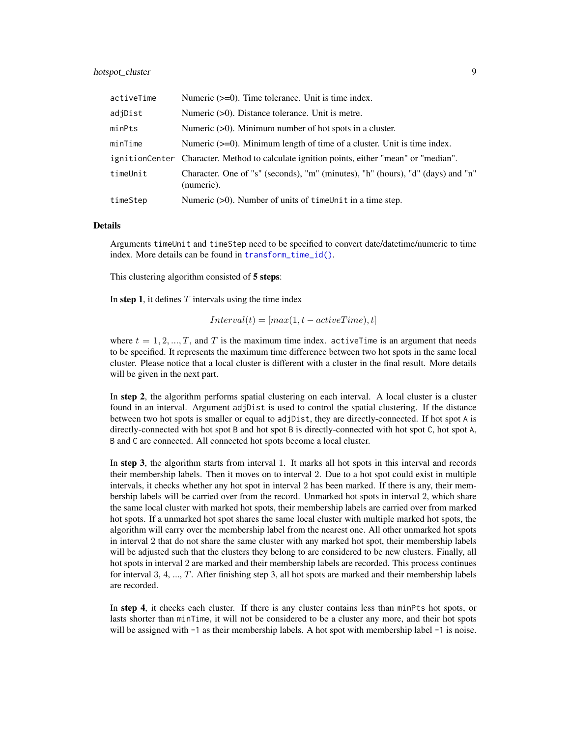## <span id="page-8-0"></span>hotspot\_cluster 9

| activeTime | Numeric $(>=0)$ . Time tolerance. Unit is time index.                                         |
|------------|-----------------------------------------------------------------------------------------------|
| adjDist    | Numeric $(>0)$ . Distance tolerance. Unit is metre.                                           |
| minPts     | Numeric $(>0)$ . Minimum number of hot spots in a cluster.                                    |
| minTime    | Numeric $(\geq=0)$ . Minimum length of time of a cluster. Unit is time index.                 |
|            | ignitionCenter Character. Method to calculate ignition points, either "mean" or "median".     |
| timeUnit   | Character. One of "s" (seconds), "m" (minutes), "h" (hours), "d" (days) and "n"<br>(numeric). |
| timeStep   | Numeric (>0). Number of units of timeUnit in a time step.                                     |

#### Details

Arguments timeUnit and timeStep need to be specified to convert date/datetime/numeric to time index. More details can be found in [transform\\_time\\_id\(\)](#page-25-1).

This clustering algorithm consisted of 5 steps:

In step 1, it defines  $T$  intervals using the time index

$$
Interval(t) = [max(1, t - activeTime), t]
$$

where  $t = 1, 2, ..., T$ , and T is the maximum time index. active Time is an argument that needs to be specified. It represents the maximum time difference between two hot spots in the same local cluster. Please notice that a local cluster is different with a cluster in the final result. More details will be given in the next part.

In step 2, the algorithm performs spatial clustering on each interval. A local cluster is a cluster found in an interval. Argument adjDist is used to control the spatial clustering. If the distance between two hot spots is smaller or equal to adjDist, they are directly-connected. If hot spot A is directly-connected with hot spot B and hot spot B is directly-connected with hot spot C, hot spot A, B and C are connected. All connected hot spots become a local cluster.

In step 3, the algorithm starts from interval 1. It marks all hot spots in this interval and records their membership labels. Then it moves on to interval 2. Due to a hot spot could exist in multiple intervals, it checks whether any hot spot in interval 2 has been marked. If there is any, their membership labels will be carried over from the record. Unmarked hot spots in interval 2, which share the same local cluster with marked hot spots, their membership labels are carried over from marked hot spots. If a unmarked hot spot shares the same local cluster with multiple marked hot spots, the algorithm will carry over the membership label from the nearest one. All other unmarked hot spots in interval 2 that do not share the same cluster with any marked hot spot, their membership labels will be adjusted such that the clusters they belong to are considered to be new clusters. Finally, all hot spots in interval 2 are marked and their membership labels are recorded. This process continues for interval  $3, 4, ..., T$ . After finishing step 3, all hot spots are marked and their membership labels are recorded.

In step 4, it checks each cluster. If there is any cluster contains less than minPts hot spots, or lasts shorter than minTime, it will not be considered to be a cluster any more, and their hot spots will be assigned with  $-1$  as their membership labels. A hot spot with membership label  $-1$  is noise.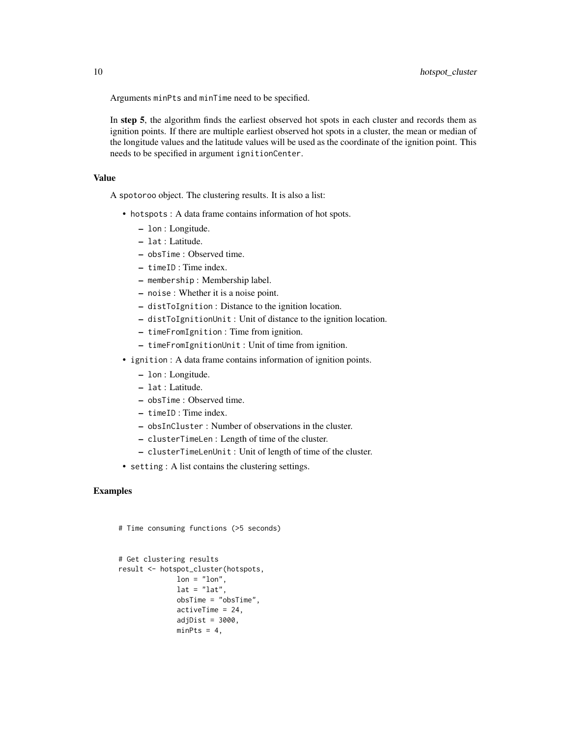Arguments minPts and minTime need to be specified.

In step 5, the algorithm finds the earliest observed hot spots in each cluster and records them as ignition points. If there are multiple earliest observed hot spots in a cluster, the mean or median of the longitude values and the latitude values will be used as the coordinate of the ignition point. This needs to be specified in argument ignitionCenter.

#### Value

A spotoroo object. The clustering results. It is also a list:

- hotspots : A data frame contains information of hot spots.
	- lon : Longitude.
	- lat : Latitude.
	- obsTime : Observed time.
	- timeID : Time index.
	- membership : Membership label.
	- noise : Whether it is a noise point.
	- distToIgnition : Distance to the ignition location.
	- distToIgnitionUnit : Unit of distance to the ignition location.
	- timeFromIgnition : Time from ignition.
	- timeFromIgnitionUnit : Unit of time from ignition.
- ignition : A data frame contains information of ignition points.
	- lon : Longitude.
	- lat : Latitude.
	- obsTime : Observed time.
	- timeID : Time index.
	- obsInCluster : Number of observations in the cluster.
	- clusterTimeLen : Length of time of the cluster.
	- clusterTimeLenUnit : Unit of length of time of the cluster.
- setting : A list contains the clustering settings.

## Examples

# Time consuming functions (>5 seconds)

```
# Get clustering results
result <- hotspot_cluster(hotspots,
             lon = "lon",lat = "lat",obsTime = "obsTime",
              activeTime = 24,
              adjDist = 3000,minPts = 4,
```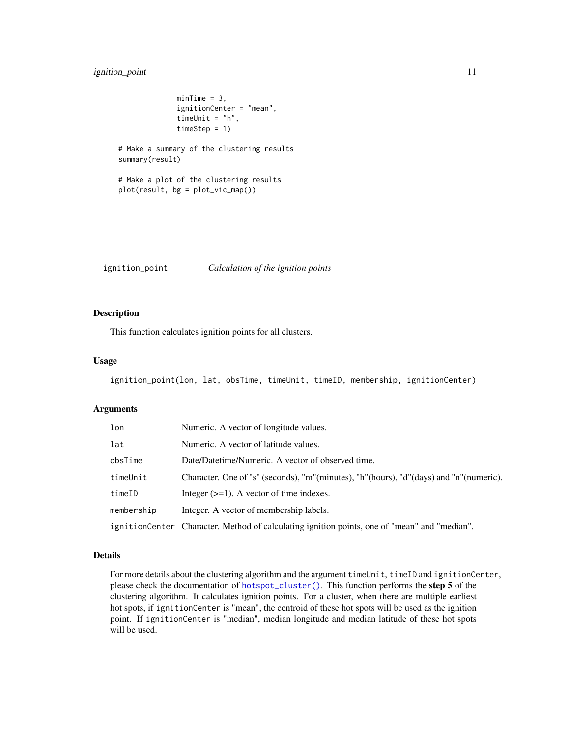## <span id="page-10-0"></span>ignition\_point 11

```
minTime = 3,
              ignitionCenter = "mean",
              timeUnit = "h",
              timeStep = 1)
# Make a summary of the clustering results
summary(result)
# Make a plot of the clustering results
plot(result, bg = plot_vic_map())
```
<span id="page-10-1"></span>ignition\_point *Calculation of the ignition points*

## Description

This function calculates ignition points for all clusters.

#### Usage

```
ignition_point(lon, lat, obsTime, timeUnit, timeID, membership, ignitionCenter)
```
#### Arguments

| lon        | Numeric. A vector of longitude values.                                                       |
|------------|----------------------------------------------------------------------------------------------|
| lat        | Numeric. A vector of latitude values.                                                        |
| obsTime    | Date/Datetime/Numeric. A vector of observed time.                                            |
| timeUnit   | Character. One of "s" (seconds), "m"(minutes), "h"(hours), "d"(days) and "n"(numeric).       |
| timeID     | Integer $(\geq=1)$ . A vector of time indexes.                                               |
| membership | Integer. A vector of membership labels.                                                      |
|            | ignitionCenter Character. Method of calculating ignition points, one of "mean" and "median". |

#### Details

For more details about the clustering algorithm and the argument timeUnit, timeID and ignitionCenter, please check the documentation of [hotspot\\_cluster\(\)](#page-7-1). This function performs the step 5 of the clustering algorithm. It calculates ignition points. For a cluster, when there are multiple earliest hot spots, if ignitionCenter is "mean", the centroid of these hot spots will be used as the ignition point. If ignitionCenter is "median", median longitude and median latitude of these hot spots will be used.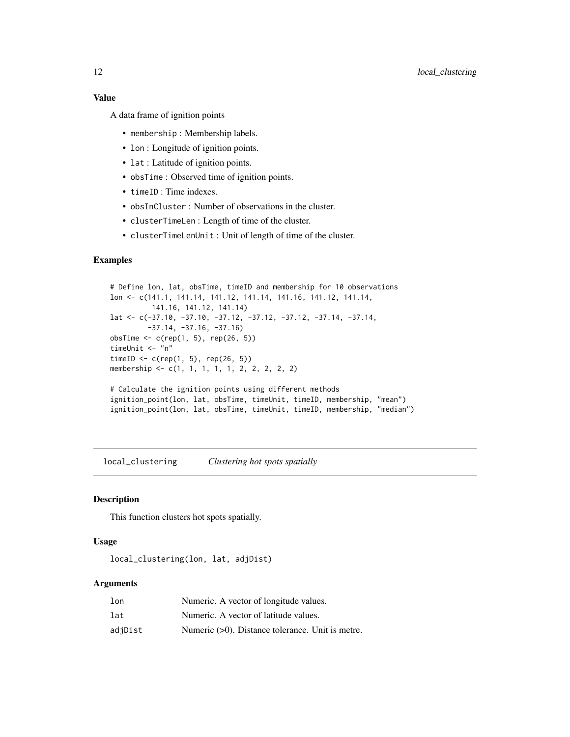## <span id="page-11-0"></span>Value

A data frame of ignition points

- membership : Membership labels.
- lon : Longitude of ignition points.
- lat : Latitude of ignition points.
- obsTime : Observed time of ignition points.
- timeID : Time indexes.
- obsInCluster : Number of observations in the cluster.
- clusterTimeLen : Length of time of the cluster.
- clusterTimeLenUnit : Unit of length of time of the cluster.

## Examples

```
# Define lon, lat, obsTime, timeID and membership for 10 observations
lon <- c(141.1, 141.14, 141.12, 141.14, 141.16, 141.12, 141.14,
         141.16, 141.12, 141.14)
lat <- c(-37.10, -37.10, -37.12, -37.12, -37.12, -37.14, -37.14,
         -37.14, -37.16, -37.16)
obsTime <- c(rep(1, 5), rep(26, 5))
timeUnit <- "n"
timeID <- c(rep(1, 5), rep(26, 5))membership <- c(1, 1, 1, 1, 1, 2, 2, 2, 2, 2)
# Calculate the ignition points using different methods
ignition_point(lon, lat, obsTime, timeUnit, timeID, membership, "mean")
ignition_point(lon, lat, obsTime, timeUnit, timeID, membership, "median")
```
<span id="page-11-1"></span>local\_clustering *Clustering hot spots spatially*

#### Description

This function clusters hot spots spatially.

#### Usage

local\_clustering(lon, lat, adjDist)

## Arguments

| 1 <sub>on</sub> | Numeric. A vector of longitude values.              |
|-----------------|-----------------------------------------------------|
| lat             | Numeric. A vector of latitude values.               |
| adjDist         | Numeric $(>0)$ . Distance tolerance. Unit is metre. |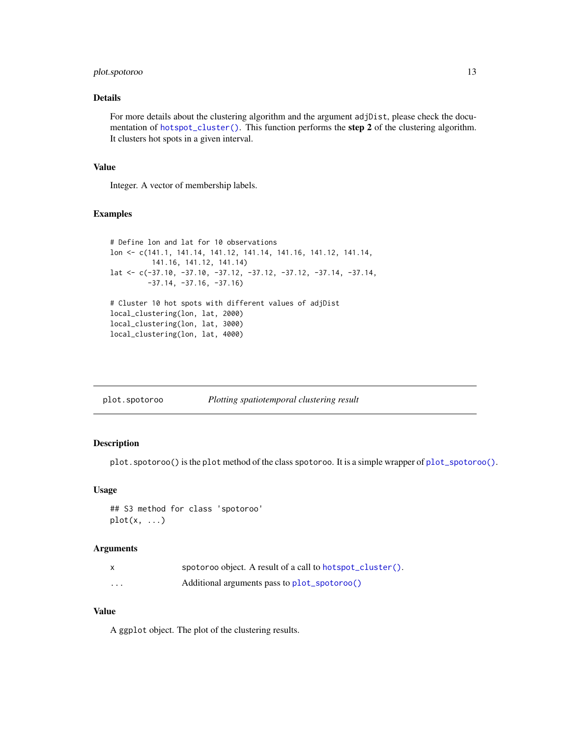## <span id="page-12-0"></span>plot.spotoroo 13

### Details

For more details about the clustering algorithm and the argument adjDist, please check the documentation of [hotspot\\_cluster\(\)](#page-7-1). This function performs the step 2 of the clustering algorithm. It clusters hot spots in a given interval.

#### Value

Integer. A vector of membership labels.

#### Examples

```
# Define lon and lat for 10 observations
lon <- c(141.1, 141.14, 141.12, 141.14, 141.16, 141.12, 141.14,
         141.16, 141.12, 141.14)
lat <- c(-37.10, -37.10, -37.12, -37.12, -37.12, -37.14, -37.14,
         -37.14, -37.16, -37.16)
# Cluster 10 hot spots with different values of adjDist
local_clustering(lon, lat, 2000)
local_clustering(lon, lat, 3000)
local_clustering(lon, lat, 4000)
```
<span id="page-12-1"></span>

| plot.spotoroo | Plotting spatiotemporal clustering result |
|---------------|-------------------------------------------|
|               |                                           |

## Description

plot.spotoroo() is the plot method of the class spotoroo. It is a simple wrapper of [plot\\_spotoroo\(\)](#page-16-1).

#### Usage

```
## S3 method for class 'spotoroo'
plot(x, \ldots)
```
#### Arguments

|          | spotoroo object. A result of a call to hotspot_cluster(). |
|----------|-----------------------------------------------------------|
| $\cdots$ | Additional arguments pass to plot_spotoroo()              |

#### Value

A ggplot object. The plot of the clustering results.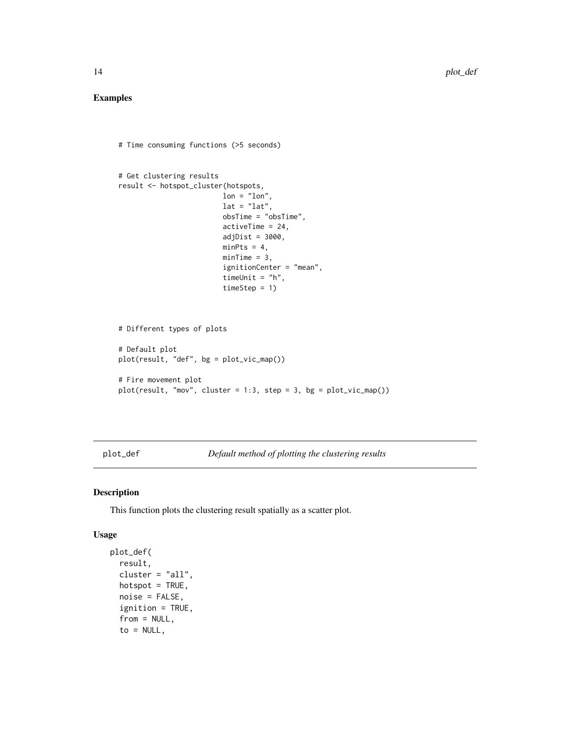## <span id="page-13-0"></span>Examples

```
# Time consuming functions (>5 seconds)
# Get clustering results
result <- hotspot_cluster(hotspots,
                         lon = "lon",lat = "lat",obsTime = "obsTime",
                         activeTime = 24,
                         adjDist = 3000,minPts = 4,minTime = 3,
                         ignitionCenter = "mean",
                         timeUnit = "h",
                         timeStep = 1)
# Different types of plots
# Default plot
plot(result, "def", bg = plot_vic_map())
# Fire movement plot
plot(result, "mov", cluster = 1:3, step = 3, bg = plot\_vic\_map())
```
<span id="page-13-1"></span>plot\_def *Default method of plotting the clustering results*

#### Description

This function plots the clustering result spatially as a scatter plot.

## Usage

```
plot_def(
  result,
  cluster = "all",hotspot = TRUE,
 noise = FALSE,
  ignition = TRUE,
  from = NULL,
  to = NULL,
```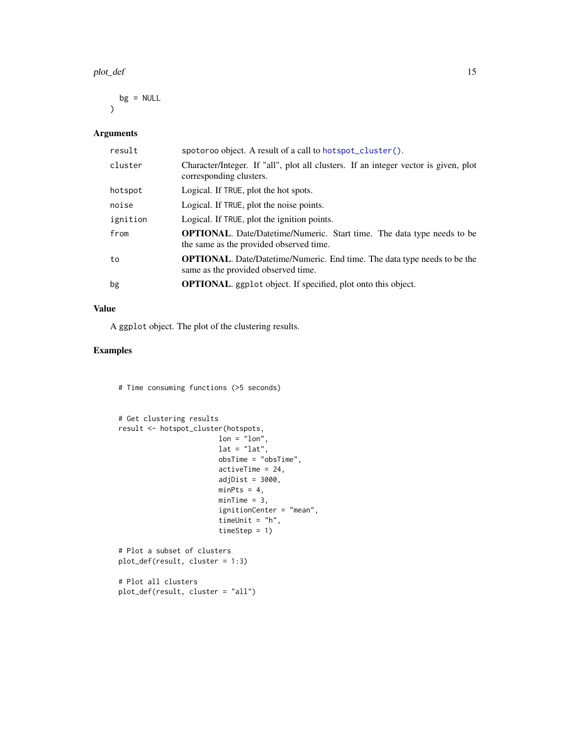#### <span id="page-14-0"></span>plot\_def 15

 $bg = NULL$  $\mathcal{L}$ 

## Arguments

| result   | spotoroo object. A result of a call to hotspot_cluster().                                                                |
|----------|--------------------------------------------------------------------------------------------------------------------------|
| cluster  | Character/Integer. If "all", plot all clusters. If an integer vector is given, plot<br>corresponding clusters.           |
| hotspot  | Logical. If TRUE, plot the hot spots.                                                                                    |
| noise    | Logical. If TRUE, plot the noise points.                                                                                 |
| ignition | Logical. If TRUE, plot the ignition points.                                                                              |
| from     | <b>OPTIONAL.</b> Date/Datetime/Numeric. Start time. The data type needs to be<br>the same as the provided observed time. |
| to       | <b>OPTIONAL.</b> Date/Datetime/Numeric. End time. The data type needs to be the<br>same as the provided observed time.   |
| bg       | <b>OPTIONAL.</b> ggplot object. If specified, plot onto this object.                                                     |

## Value

A ggplot object. The plot of the clustering results.

## Examples

# Time consuming functions (>5 seconds)

```
# Get clustering results
result <- hotspot_cluster(hotspots,
                       lon = "lon",lat = "lat",obsTime = "obsTime",
                       activeTime = 24,
                       adjDist = 3000,
                       minPts = 4,minTime = 3,
                        ignitionCenter = "mean",
                        timeUnit = "h",
                       timeStep = 1)
# Plot a subset of clusters
plot_def(result, cluster = 1:3)
# Plot all clusters
plot_def(result, cluster = "all")
```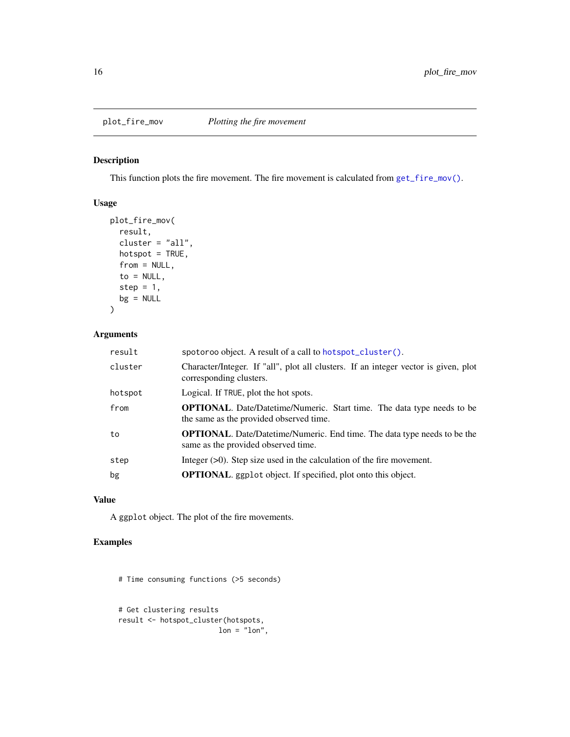<span id="page-15-1"></span><span id="page-15-0"></span>

## Description

This function plots the fire movement. The fire movement is calculated from  $get\_fire\_mov()$ .

## Usage

```
plot_fire_mov(
 result,
 cluster = "all",hotspot = TRUE,from = NULL,
 to = NULL,
 step = 1,
 bg = NULL)
```
## Arguments

| result  | spotoroo object. A result of a call to hotspot_cluster().                                                                |
|---------|--------------------------------------------------------------------------------------------------------------------------|
| cluster | Character/Integer. If "all", plot all clusters. If an integer vector is given, plot<br>corresponding clusters.           |
| hotspot | Logical. If TRUE, plot the hot spots.                                                                                    |
| from    | <b>OPTIONAL.</b> Date/Datetime/Numeric. Start time. The data type needs to be<br>the same as the provided observed time. |
| to      | <b>OPTIONAL.</b> Date/Datetime/Numeric. End time. The data type needs to be the<br>same as the provided observed time.   |
| step    | Integer $(>0)$ . Step size used in the calculation of the fire movement.                                                 |
| bg      | <b>OPTIONAL.</b> ggplot object. If specified, plot onto this object.                                                     |
|         |                                                                                                                          |

#### Value

A ggplot object. The plot of the fire movements.

## Examples

# Time consuming functions (>5 seconds)

```
# Get clustering results
result <- hotspot_cluster(hotspots,
                       lon = "lon",
```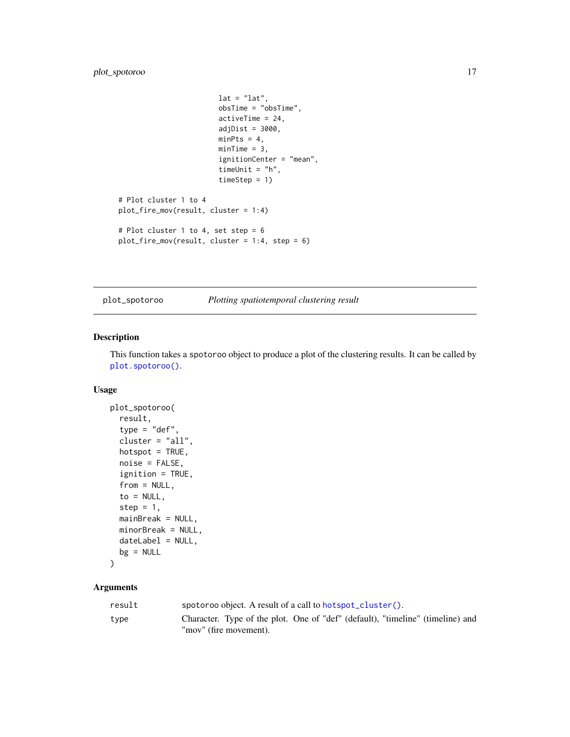## <span id="page-16-0"></span>plot\_spotoroo 17

```
lat = "lat",obsTime = "obsTime",
                        activeTime = 24,
                        adjDist = 3000,minPts = 4,minTime = 3,
                        ignitionCenter = "mean",
                        timeUnit = "h",
                        timeStep = 1)
# Plot cluster 1 to 4
plot_fire_mov(result, cluster = 1:4)
# Plot cluster 1 to 4, set step = 6
plot_fire_mov(result, cluster = 1:4, step = 6)
```
<span id="page-16-1"></span>plot\_spotoroo *Plotting spatiotemporal clustering result*

## Description

This function takes a spotoroo object to produce a plot of the clustering results. It can be called by [plot.spotoroo\(\)](#page-12-1).

## Usage

```
plot_spotoroo(
  result,
  type = "def",
  cluster = "all",hotspot = TRUE,noise = FALSE,
  ignition = TRUE,
  from = NULL,
  to = NULL,step = 1,
 mainBreak = NULL,
 minorBreak = NULL,
  dateLabel = NULL,
 bg = NULL\mathcal{L}
```
#### Arguments

| result | spotoroo object. A result of a call to hotspot_cluster().                                                |
|--------|----------------------------------------------------------------------------------------------------------|
| type   | Character. Type of the plot. One of "def" (default), "timeline" (timeline) and<br>"mov" (fire movement). |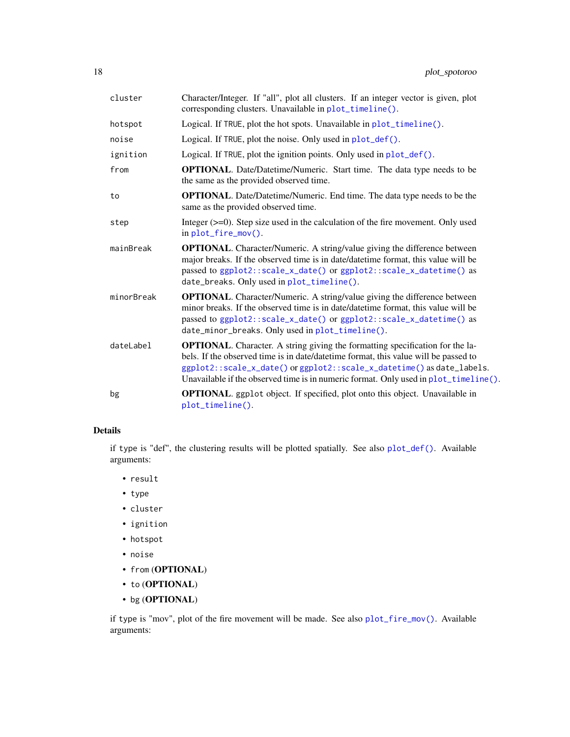<span id="page-17-0"></span>

| cluster    | Character/Integer. If "all", plot all clusters. If an integer vector is given, plot<br>corresponding clusters. Unavailable in plot_timeline().                                                                                                                                                                                                    |
|------------|---------------------------------------------------------------------------------------------------------------------------------------------------------------------------------------------------------------------------------------------------------------------------------------------------------------------------------------------------|
| hotspot    | Logical. If TRUE, plot the hot spots. Unavailable in plot_timeline().                                                                                                                                                                                                                                                                             |
| noise      | Logical. If TRUE, plot the noise. Only used in plot_def().                                                                                                                                                                                                                                                                                        |
| ignition   | Logical. If TRUE, plot the ignition points. Only used in $plot\_def()$ .                                                                                                                                                                                                                                                                          |
| from       | <b>OPTIONAL.</b> Date/Datetime/Numeric. Start time. The data type needs to be<br>the same as the provided observed time.                                                                                                                                                                                                                          |
| to         | <b>OPTIONAL.</b> Date/Datetime/Numeric. End time. The data type needs to be the<br>same as the provided observed time.                                                                                                                                                                                                                            |
| step       | Integer $(>=0)$ . Step size used in the calculation of the fire movement. Only used<br>in plot_fire_mov().                                                                                                                                                                                                                                        |
| mainBreak  | <b>OPTIONAL.</b> Character/Numeric. A string/value giving the difference between<br>major breaks. If the observed time is in date/datetime format, this value will be<br>passed to ggplot2::scale_x_date() or ggplot2::scale_x_datetime() as<br>date_breaks. Only used in plot_timeline().                                                        |
| minorBreak | <b>OPTIONAL.</b> Character/Numeric. A string/value giving the difference between<br>minor breaks. If the observed time is in date/date time format, this value will be<br>passed to ggplot2::scale_x_date() or ggplot2::scale_x_datetime() as<br>date_minor_breaks. Only used in plot_timeline().                                                 |
| dateLabel  | <b>OPTIONAL.</b> Character. A string giving the formatting specification for the la-<br>bels. If the observed time is in date/date time format, this value will be passed to<br>ggplot2::scale_x_date() or ggplot2::scale_x_datetime() as date_labels.<br>Unavailable if the observed time is in numeric format. Only used in $plot_timeline()$ . |
| bg         | <b>OPTIONAL</b> . ggplot object. If specified, plot onto this object. Unavailable in<br>plot_timeline().                                                                                                                                                                                                                                          |

## Details

if type is "def", the clustering results will be plotted spatially. See also [plot\\_def\(\)](#page-13-1). Available arguments:

- result
- type
- cluster
- ignition
- hotspot
- noise
- from (OPTIONAL)
- to  $(\mathbf{OPTIONAL})$
- bg (OPTIONAL)

if type is "mov", plot of the fire movement will be made. See also [plot\\_fire\\_mov\(\)](#page-15-1). Available arguments: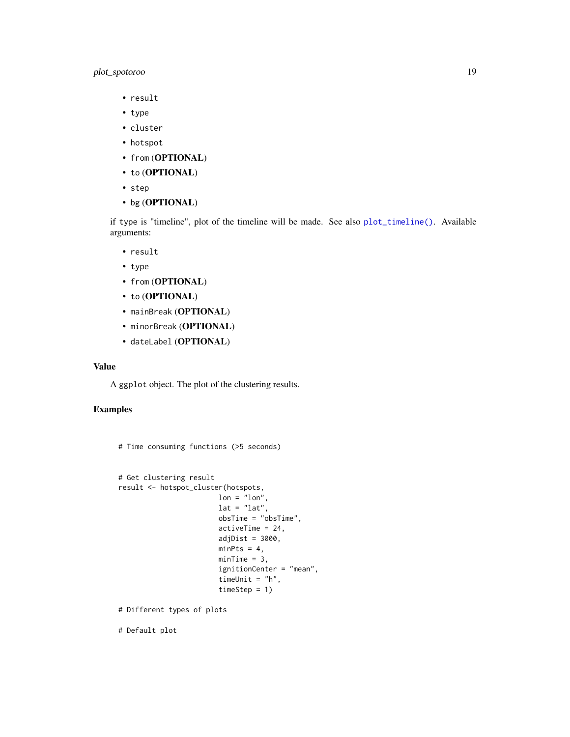## <span id="page-18-0"></span>plot\_spotoroo 19

- result
- type
- cluster
- hotspot
- from (OPTIONAL)
- to (OPTIONAL)
- step
- bg (OPTIONAL)

if type is "timeline", plot of the timeline will be made. See also [plot\\_timeline\(\)](#page-19-1). Available arguments:

- result
- type
- from (OPTIONAL)
- to (OPTIONAL)
- mainBreak (OPTIONAL)
- minorBreak (OPTIONAL)
- dateLabel (OPTIONAL)

#### Value

A ggplot object. The plot of the clustering results.

## Examples

```
# Time consuming functions (>5 seconds)
```

```
# Get clustering result
result <- hotspot_cluster(hotspots,
                       lon = "lon",lat = "lat",obsTime = "obsTime",
                       activeTime = 24,
                       adjDist = 3000,
                       minPts = 4,minTime = 3,
                        ignitionCenter = "mean",
                       timeUnit = "h",
                       timeStep = 1)
```
# Different types of plots

# Default plot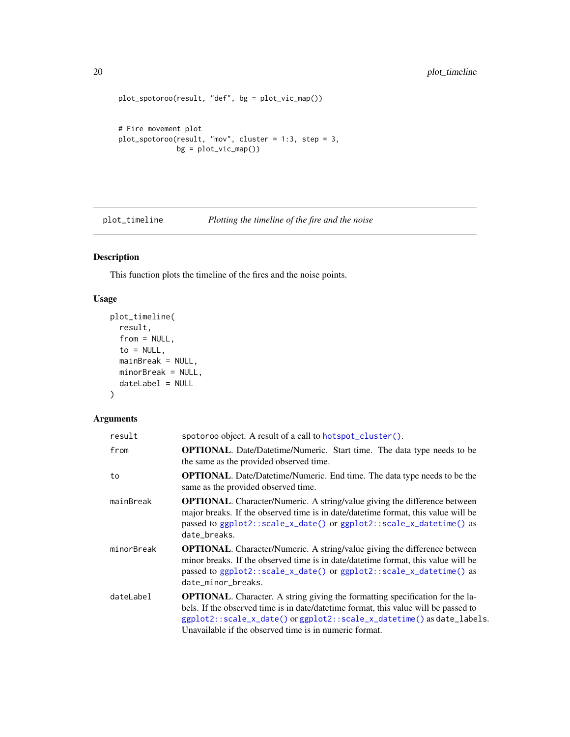```
plot_spotoroo(result, "def", bg = plot_vic_map())
# Fire movement plot
plot_spotoroo(result, "mov", cluster = 1:3, step = 3,
              bg = plot\_vic\_map()
```
<span id="page-19-1"></span>plot\_timeline *Plotting the timeline of the fire and the noise*

## Description

This function plots the timeline of the fires and the noise points.

#### Usage

```
plot_timeline(
  result,
  from = NULL,
 to = NULL,mainBreak = NULL,
 minorBreak = NULL,
  dateLabel = NULL
)
```
## Arguments

| result     | spotoroo object. A result of a call to hotspot_cluster().                                                                                                                                                                                                                                                        |
|------------|------------------------------------------------------------------------------------------------------------------------------------------------------------------------------------------------------------------------------------------------------------------------------------------------------------------|
| from       | <b>OPTIONAL.</b> Date/Datetime/Numeric. Start time. The data type needs to be<br>the same as the provided observed time.                                                                                                                                                                                         |
| to         | <b>OPTIONAL.</b> Date/Datetime/Numeric. End time. The data type needs to be the<br>same as the provided observed time.                                                                                                                                                                                           |
| mainBreak  | <b>OPTIONAL.</b> Character/Numeric. A string/value giving the difference between<br>major breaks. If the observed time is in date/datetime format, this value will be<br>passed to ggplot2::scale_x_date() or ggplot2::scale_x_datetime() as<br>date_breaks.                                                     |
| minorBreak | <b>OPTIONAL.</b> Character/Numeric. A string/value giving the difference between<br>minor breaks. If the observed time is in date/date time format, this value will be<br>passed to ggplot2::scale_x_date() or ggplot2::scale_x_datetime() as<br>date_minor_breaks.                                              |
| dateLabel  | <b>OPTIONAL.</b> Character. A string giving the formatting specification for the la-<br>bels. If the observed time is in date/date time format, this value will be passed to<br>ggplot2::scale_x_date() or ggplot2::scale_x_datetime() as date_labels.<br>Unavailable if the observed time is in numeric format. |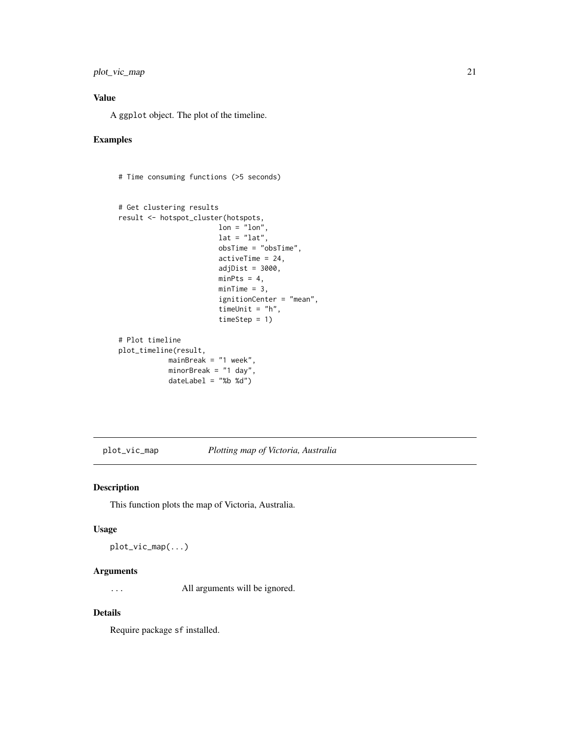## <span id="page-20-0"></span>Value

A ggplot object. The plot of the timeline.

## Examples

```
# Time consuming functions (>5 seconds)
```

```
# Get clustering results
result <- hotspot_cluster(hotspots,
                       lon = "lon",lat = "lat",obsTime = "obsTime",
                        activeTime = 24,
                        adjDist = 3000,
                        minPts = 4,minTime = 3,
                        ignitionCenter = "mean",
                        timeUnit = "h",
                        timeStep = 1)
# Plot timeline
plot_timeline(result,
           mainBreak = "1 week",
           minorBreak = "1 day",
           dateLabel = "%b %d"
```
<span id="page-20-1"></span>plot\_vic\_map *Plotting map of Victoria, Australia*

#### Description

This function plots the map of Victoria, Australia.

#### Usage

plot\_vic\_map(...)

## Arguments

... All arguments will be ignored.

#### Details

Require package sf installed.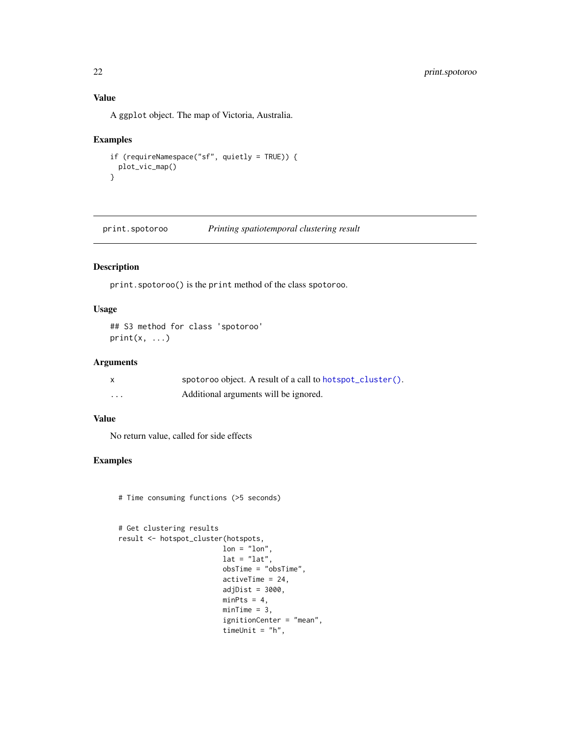## Value

A ggplot object. The map of Victoria, Australia.

#### Examples

```
if (requireNamespace("sf", quietly = TRUE)) {
 plot_vic_map()
}
```
<span id="page-21-1"></span>print.spotoroo *Printing spatiotemporal clustering result*

## Description

print.spotoroo() is the print method of the class spotoroo.

#### Usage

```
## S3 method for class 'spotoroo'
print(x, \ldots)
```
## Arguments

|          | spotoroo object. A result of a call to hotspot_cluster(). |
|----------|-----------------------------------------------------------|
| $\cdots$ | Additional arguments will be ignored.                     |

## Value

No return value, called for side effects

## Examples

```
# Time consuming functions (>5 seconds)
```

```
# Get clustering results
result <- hotspot_cluster(hotspots,
                        lon = "lon",lat = "lat",obsTime = "obsTime",activeTime = 24,
                        adjDist = 3000,minPts = 4,minTime = 3,
                        ignitionCenter = "mean",
                        timeUnit = "h",
```
<span id="page-21-0"></span>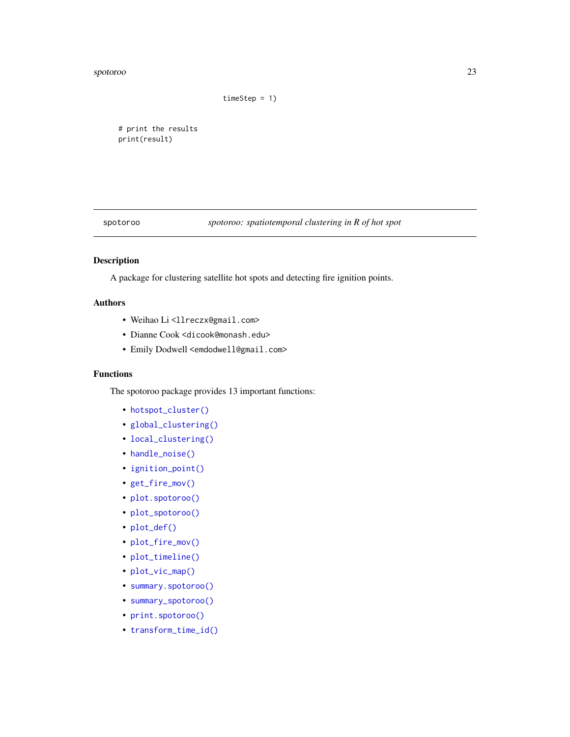#### <span id="page-22-0"></span>spotoroo 23

timeStep = 1)

# print the results print(result)

spotoroo *spotoroo: spatiotemporal clustering in R of hot spot*

## Description

A package for clustering satellite hot spots and detecting fire ignition points.

## Authors

- Weihao Li <llreczx@gmail.com>
- Dianne Cook <dicook@monash.edu>
- Emily Dodwell <emdodwell@gmail.com>

#### Functions

The spotoroo package provides 13 important functions:

- [hotspot\\_cluster\(\)](#page-7-1)
- [global\\_clustering\(\)](#page-4-1)
- [local\\_clustering\(\)](#page-11-1)
- [handle\\_noise\(\)](#page-5-1)
- [ignition\\_point\(\)](#page-10-1)
- [get\\_fire\\_mov\(\)](#page-3-1)
- [plot.spotoroo\(\)](#page-12-1)
- [plot\\_spotoroo\(\)](#page-16-1)
- [plot\\_def\(\)](#page-13-1)
- [plot\\_fire\\_mov\(\)](#page-15-1)
- [plot\\_timeline\(\)](#page-19-1)
- [plot\\_vic\\_map\(\)](#page-20-1)
- [summary.spotoroo\(\)](#page-23-1)
- [summary\\_spotoroo\(\)](#page-24-1)
- [print.spotoroo\(\)](#page-21-1)
- [transform\\_time\\_id\(\)](#page-25-1)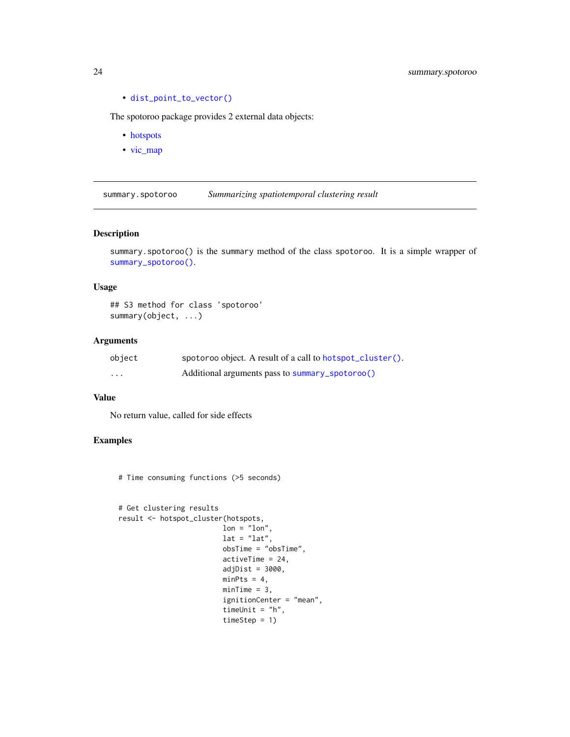• [dist\\_point\\_to\\_vector\(\)](#page-1-1)

The spotoroo package provides 2 external data objects:

- [hotspots](#page-6-1)
- [vic\\_map](#page-26-1)

<span id="page-23-1"></span>summary.spotoroo *Summarizing spatiotemporal clustering result*

#### Description

summary.spotoroo() is the summary method of the class spotoroo. It is a simple wrapper of [summary\\_spotoroo\(\)](#page-24-1).

#### Usage

## S3 method for class 'spotoroo' summary(object, ...)

## Arguments

| object | spotoroo object. A result of a call to hotspot_cluster(). |
|--------|-----------------------------------------------------------|
| .      | Additional arguments pass to summary_spotoroo()           |

#### Value

No return value, called for side effects

## Examples

# Time consuming functions (>5 seconds)

```
# Get clustering results
result <- hotspot_cluster(hotspots,
                        lon = "lon",lat = "lat",obsTime = "obsTime",
                        activeTime = 24,
                        adjDist = 3000,minPts = 4,minTime = 3,
                        ignitionCenter = "mean",
                        timeUnit = "h",
                        timeStep = 1)
```
<span id="page-23-0"></span>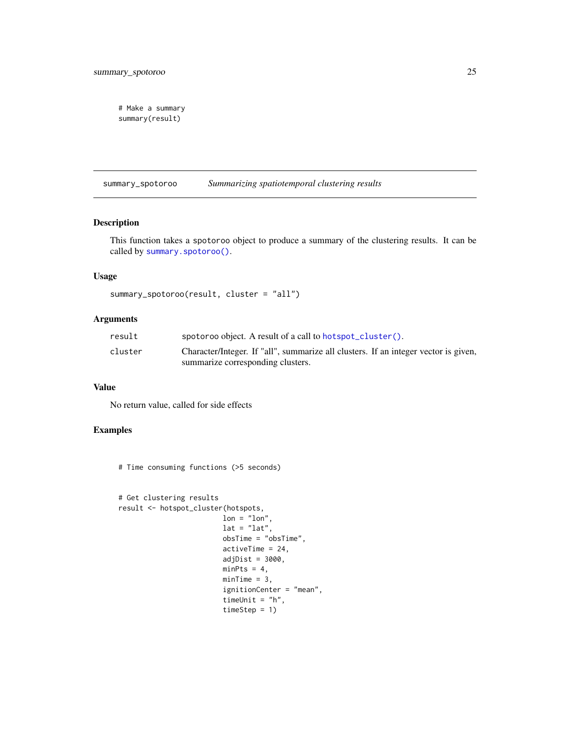```
# Make a summary
summary(result)
```
<span id="page-24-1"></span>summary\_spotoroo *Summarizing spatiotemporal clustering results*

#### Description

This function takes a spotoroo object to produce a summary of the clustering results. It can be called by [summary.spotoroo\(\)](#page-23-1).

## Usage

```
summary_spotoroo(result, cluster = "all")
```
## Arguments

| result  | spotoroo object. A result of a call to hotspot_cluster().                           |
|---------|-------------------------------------------------------------------------------------|
| cluster | Character/Integer. If "all", summarize all clusters. If an integer vector is given, |
|         | summarize corresponding clusters.                                                   |

#### Value

No return value, called for side effects

## Examples

# Time consuming functions (>5 seconds)

```
# Get clustering results
result <- hotspot_cluster(hotspots,
                        lon = "lon",lat = "lat",obsTime = "obsTime",
                        activeTime = 24,
                        adjDist = 3000,minPts = 4,minTime = 3,
                        ignitionCenter = "mean",
                        timeUnit = "h",
                        timeStep = 1)
```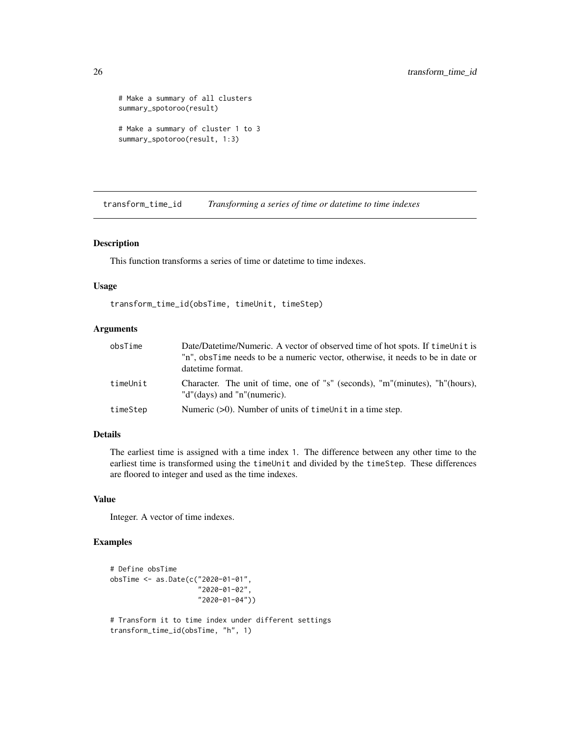```
# Make a summary of all clusters
summary_spotoroo(result)
# Make a summary of cluster 1 to 3
summary_spotoroo(result, 1:3)
```
<span id="page-25-1"></span>transform\_time\_id *Transforming a series of time or datetime to time indexes*

#### Description

This function transforms a series of time or datetime to time indexes.

#### Usage

```
transform_time_id(obsTime, timeUnit, timeStep)
```
#### **Arguments**

| obsTime  | Date/Datetime/Numeric. A vector of observed time of hot spots. If time Unit is                              |
|----------|-------------------------------------------------------------------------------------------------------------|
|          | "n", obsTime needs to be a numeric vector, otherwise, it needs to be in date or                             |
|          | datetime format.                                                                                            |
| timeUnit | Character. The unit of time, one of "s" (seconds), "m"(minutes), "h"(hours),<br>"d"(days) and "n"(numeric). |
| timeStep | Numeric $(0)$ . Number of units of time Unit in a time step.                                                |

## Details

The earliest time is assigned with a time index 1. The difference between any other time to the earliest time is transformed using the timeUnit and divided by the timeStep. These differences are floored to integer and used as the time indexes.

#### Value

Integer. A vector of time indexes.

## Examples

```
# Define obsTime
obsTime <- as.Date(c("2020-01-01",
                     "2020-01-02",
                     "2020-01-04"))
# Transform it to time index under different settings
transform_time_id(obsTime, "h", 1)
```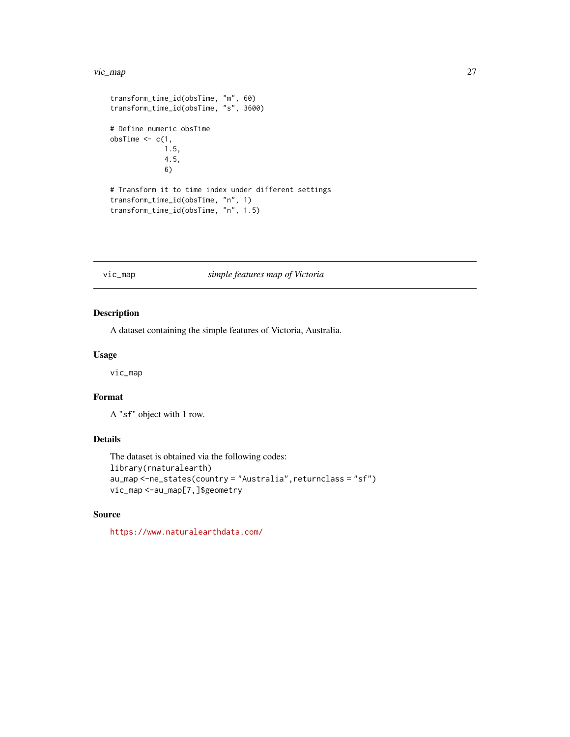#### <span id="page-26-0"></span>vic\_map 27

```
transform_time_id(obsTime, "m", 60)
transform_time_id(obsTime, "s", 3600)
# Define numeric obsTime
obsTime <-c(1,1.5,
            4.5,
             6)
# Transform it to time index under different settings
transform_time_id(obsTime, "n", 1)
transform_time_id(obsTime, "n", 1.5)
```
## <span id="page-26-1"></span>vic\_map *simple features map of Victoria*

#### Description

A dataset containing the simple features of Victoria, Australia.

#### Usage

vic\_map

#### Format

A "sf" object with 1 row.

## Details

```
The dataset is obtained via the following codes:
library(rnaturalearth)
au_map <-ne_states(country = "Australia",returnclass = "sf")
vic_map <-au_map[7,]$geometry
```
#### Source

<https://www.naturalearthdata.com/>